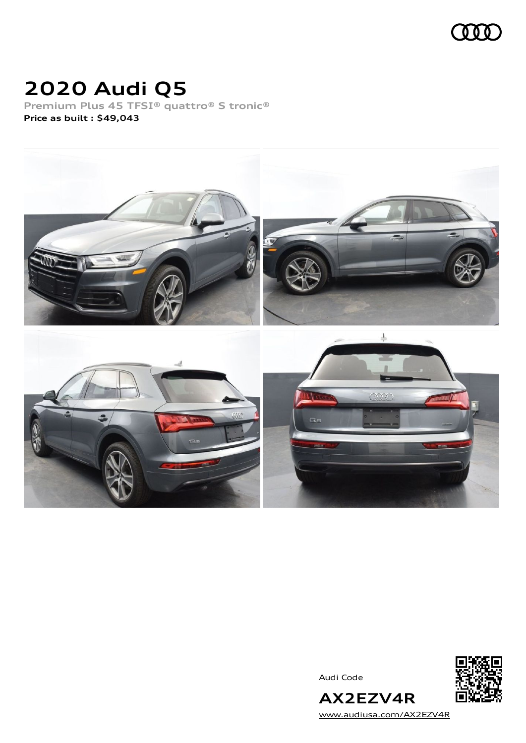

# **2020 Audi Q5**

**Premium Plus 45 TFSI® quattro® S tronic® Price as built [:](#page-8-0) \$49,043**



Audi Code



[www.audiusa.com/AX2EZV4R](https://www.audiusa.com/AX2EZV4R)

**AX2EZV4R**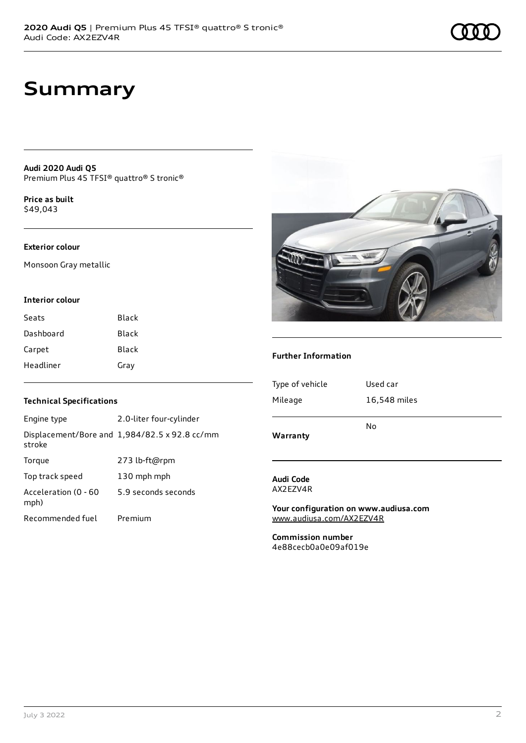**Audi 2020 Audi Q5** Premium Plus 45 TFSI® quattro® S tronic®

**Price as buil[t](#page-8-0)** \$49,043

### **Exterior colour**

Monsoon Gray metallic

#### **Interior colour**

| Seats     | Black |
|-----------|-------|
| Dashboard | Black |
| Carpet    | Black |
| Headliner | Gray  |

### **Technical Specifications**

| Engine type                  | 2.0-liter four-cylinder                       |
|------------------------------|-----------------------------------------------|
| stroke                       | Displacement/Bore and 1,984/82.5 x 92.8 cc/mm |
| Torque                       | 273 lb-ft@rpm                                 |
| Top track speed              | 130 mph mph                                   |
| Acceleration (0 - 60<br>mph) | 5.9 seconds seconds                           |
| Recommended fuel             | Premium                                       |



### **Further Information**

| Warranty        |              |
|-----------------|--------------|
|                 | No           |
| Mileage         | 16,548 miles |
| Type of vehicle | Used car     |
|                 |              |

#### **Audi Code** AX2EZV4R

**Your configuration on www.audiusa.com** [www.audiusa.com/AX2EZV4R](https://www.audiusa.com/AX2EZV4R)

**Commission number** 4e88cecb0a0e09af019e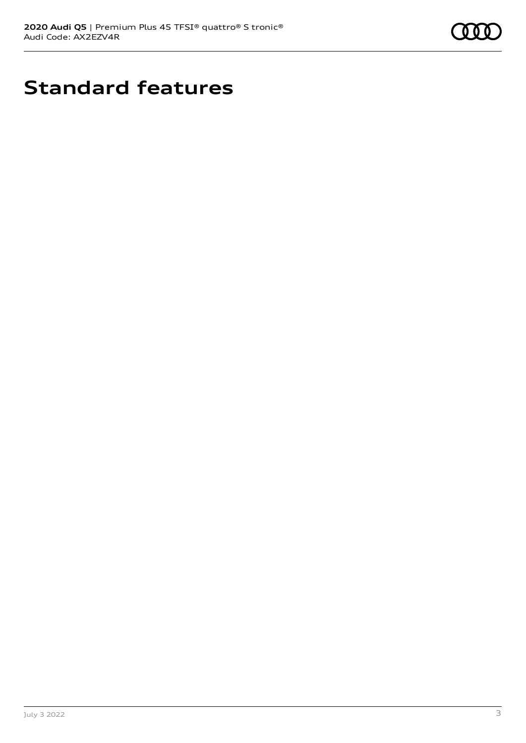

# **Standard features**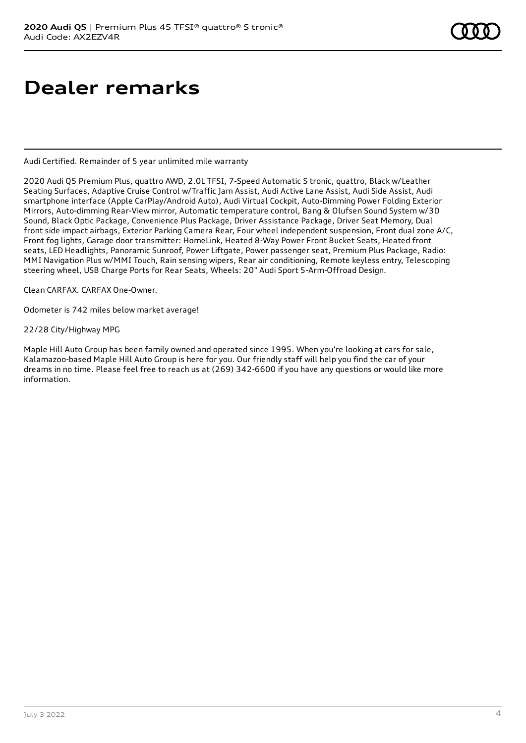# **Dealer remarks**

Audi Certified. Remainder of 5 year unlimited mile warranty

2020 Audi Q5 Premium Plus, quattro AWD, 2.0L TFSI, 7-Speed Automatic S tronic, quattro, Black w/Leather Seating Surfaces, Adaptive Cruise Control w/Traffic Jam Assist, Audi Active Lane Assist, Audi Side Assist, Audi smartphone interface (Apple CarPlay/Android Auto), Audi Virtual Cockpit, Auto-Dimming Power Folding Exterior Mirrors, Auto-dimming Rear-View mirror, Automatic temperature control, Bang & Olufsen Sound System w/3D Sound, Black Optic Package, Convenience Plus Package, Driver Assistance Package, Driver Seat Memory, Dual front side impact airbags, Exterior Parking Camera Rear, Four wheel independent suspension, Front dual zone A/C, Front fog lights, Garage door transmitter: HomeLink, Heated 8-Way Power Front Bucket Seats, Heated front seats, LED Headlights, Panoramic Sunroof, Power Liftgate, Power passenger seat, Premium Plus Package, Radio: MMI Navigation Plus w/MMI Touch, Rain sensing wipers, Rear air conditioning, Remote keyless entry, Telescoping steering wheel, USB Charge Ports for Rear Seats, Wheels: 20" Audi Sport 5-Arm-Offroad Design.

Clean CARFAX. CARFAX One-Owner.

Odometer is 742 miles below market average!

22/28 City/Highway MPG

Maple Hill Auto Group has been family owned and operated since 1995. When you're looking at cars for sale, Kalamazoo-based Maple Hill Auto Group is here for you. Our friendly staff will help you find the car of your dreams in no time. Please feel free to reach us at (269) 342-6600 if you have any questions or would like more information.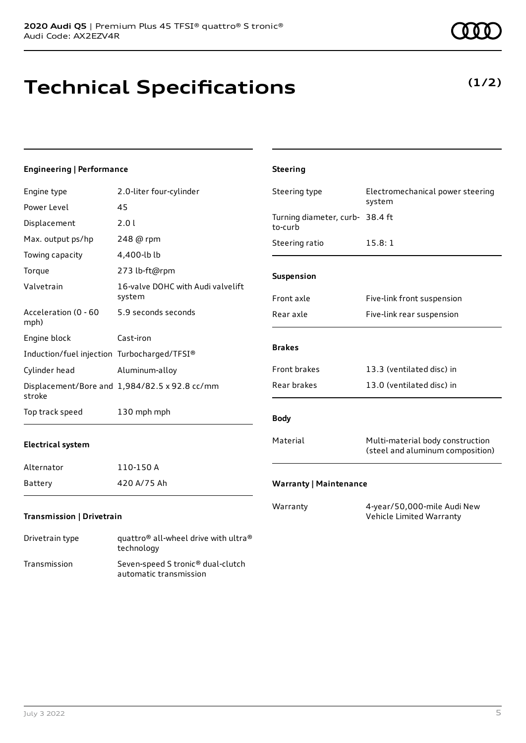# **Technical Specifications**

| Engineering   Performance                   |                                               | <b>Steering</b>                            |                                                                      |
|---------------------------------------------|-----------------------------------------------|--------------------------------------------|----------------------------------------------------------------------|
| Engine type                                 | 2.0-liter four-cylinder                       | Steering type                              | Electromechanical power steering                                     |
| Power Level                                 | 45                                            |                                            | system                                                               |
| Displacement                                | 2.01                                          | Turning diameter, curb- 38.4 ft<br>to-curb |                                                                      |
| Max. output ps/hp                           | 248 @ rpm                                     | Steering ratio                             | 15.8:1                                                               |
| Towing capacity                             | 4,400-lb lb                                   |                                            |                                                                      |
| Torque                                      | 273 lb-ft@rpm                                 | Suspension                                 |                                                                      |
| Valvetrain                                  | 16-valve DOHC with Audi valvelift<br>system   | Front axle                                 | Five-link front suspension                                           |
| Acceleration (0 - 60<br>mph)                | 5.9 seconds seconds                           | Rear axle                                  | Five-link rear suspension                                            |
| Engine block                                | Cast-iron                                     |                                            |                                                                      |
| Induction/fuel injection Turbocharged/TFSI® |                                               | <b>Brakes</b>                              |                                                                      |
| Cylinder head                               | Aluminum-alloy                                | Front brakes                               | 13.3 (ventilated disc) in                                            |
| stroke                                      | Displacement/Bore and 1,984/82.5 x 92.8 cc/mm | Rear brakes                                | 13.0 (ventilated disc) in                                            |
| Top track speed                             | 130 mph mph                                   | <b>Body</b>                                |                                                                      |
| <b>Electrical system</b>                    |                                               | Material                                   | Multi-material body construction<br>(steel and aluminum composition) |
| Alternator                                  | 110-150 A                                     |                                            |                                                                      |
| Battery                                     | 420 A/75 Ah                                   | <b>Warranty   Maintenance</b>              |                                                                      |
| Transmission   Drivetrain                   |                                               | Warranty                                   | 4-year/50,000-mile Audi New<br>Vehicle Limited Warranty              |

### Drivetrain type quattro® all-wheel drive with ultra® technology Transmission Seven-speed S tronic® dual-clutch automatic transmission



### **(1/2)**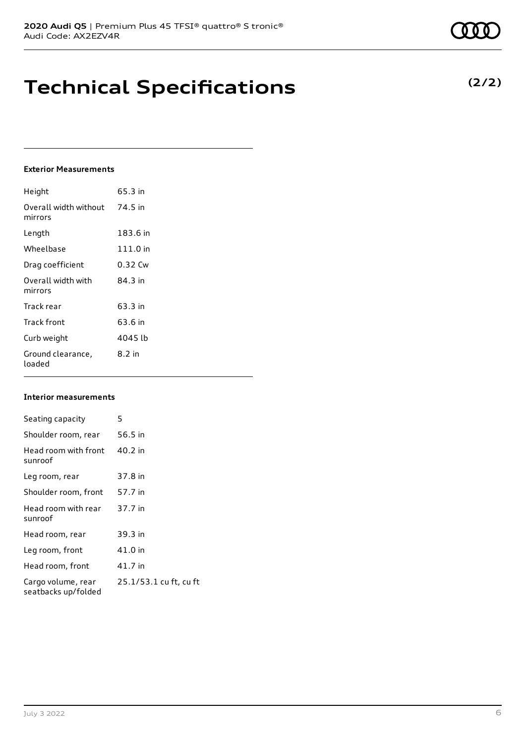# **Technical Specifications**

### **Exterior Measurements**

| Height                           | 65.3 in    |
|----------------------------------|------------|
| Overall width without<br>mirrors | 74.5 in    |
| Length                           | 183.6 in   |
| Wheelbase                        | $111.0$ in |
| Drag coefficient                 | 0.32 Cw    |
| Overall width with<br>mirrors    | 84 3 in    |
| Track rear                       | 63.3 in    |
| Track front                      | 63.6 in    |
| Curb weight                      | 4045 lb    |
| Ground clearance,<br>loaded      | 8.2 in     |

### **Interior measurements**

| Seating capacity                          | 5                      |
|-------------------------------------------|------------------------|
| Shoulder room, rear                       | 56.5 in                |
| Head room with front<br>sunroof           | 40.2 in                |
| Leg room, rear                            | 37.8 in                |
| Shoulder room, front                      | 57.7 in                |
| Head room with rear<br>sunroof            | 37.7 in                |
| Head room, rear                           | 39.3 in                |
| Leg room, front                           | 41.0 in                |
| Head room, front                          | 41.7 in                |
| Cargo volume, rear<br>seatbacks up/folded | 25.1/53.1 cu ft, cu ft |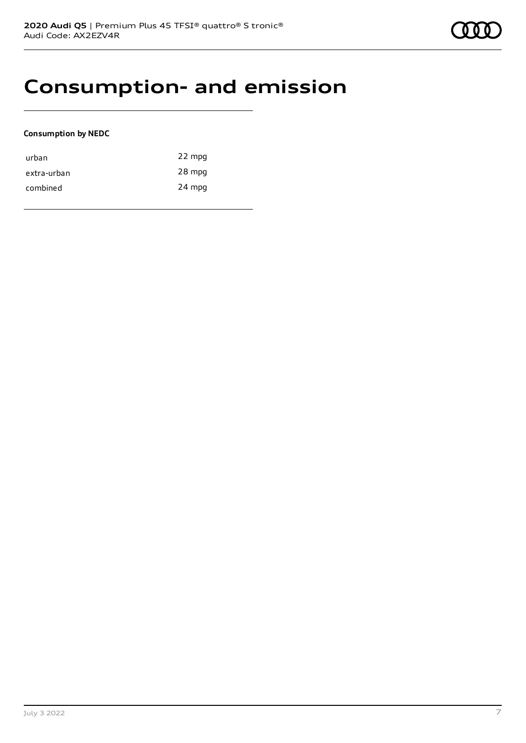## **Consumption- and emission**

### **Consumption by NEDC**

| urban       | 22 mpg |
|-------------|--------|
| extra-urban | 28 mpg |
| combined    | 24 mpg |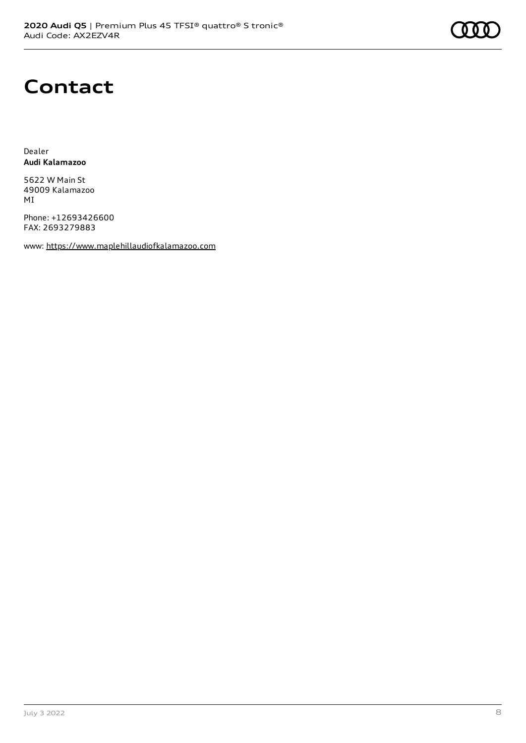# **Contact**

Dealer **Audi Kalamazoo**

5622 W Main St 49009 Kalamazoo MI

Phone: +12693426600 FAX: 2693279883

www: [https://www.maplehillaudiofkalamazoo.com](https://www.maplehillaudiofkalamazoo.com/)